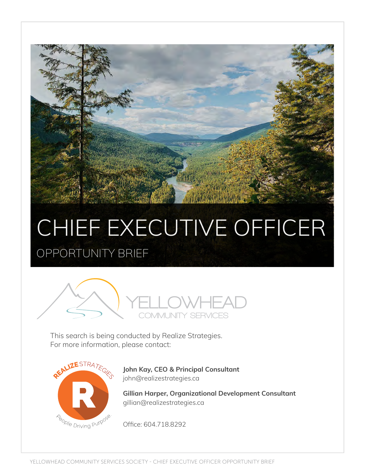# CHIEF EXECUTIVE OFFICER OPPORTUNITY BRIEF



This search is being conducted by Realize Strategies. For more information, please contact:



**John Kay, CEO & Principal Consultant** john@realizestrategies.ca

**Gillian Harper, Organizational Development Consultant** gillian@realizestrategies.ca

Office: 604.718.8292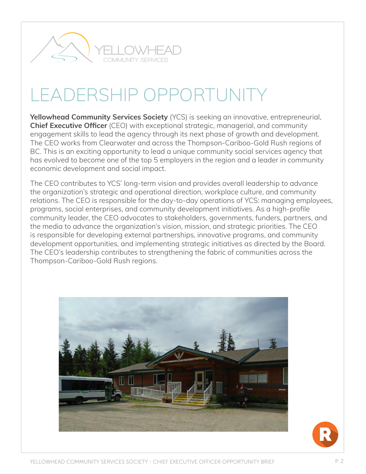

# LEADERSHIP OPPORTUNITY

**Yellowhead Community Services Society** (YCS) is seeking an innovative, entrepreneurial, **Chief Executive Officer** (CEO) with exceptional strategic, managerial, and community engagement skills to lead the agency through its next phase of growth and development. The CEO works from Clearwater and across the Thompson-Cariboo-Gold Rush regions of BC. This is an exciting opportunity to lead a unique community social services agency that has evolved to become one of the top 5 employers in the region and a leader in community economic development and social impact.

The CEO contributes to YCS' long-term vision and provides overall leadership to advance the organization's strategic and operational direction, workplace culture, and community relations. The CEO is responsible for the day-to-day operations of YCS: managing employees, programs, social enterprises, and community development initiatives. As a high-profile community leader, the CEO advocates to stakeholders, governments, funders, partners, and the media to advance the organization's vision, mission, and strategic priorities. The CEO is responsible for developing external partnerships, innovative programs, and community development opportunities, and implementing strategic initiatives as directed by the Board. The CEO's leadership contributes to strengthening the fabric of communities across the Thompson-Cariboo-Gold Rush regions.

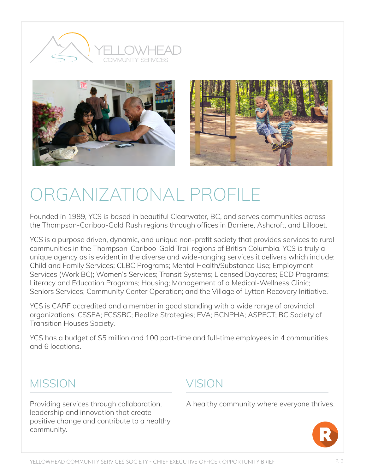





# ORGANIZATIONAL PROFILE

Founded in 1989, YCS is based in beautiful Clearwater, BC, and serves communities across the Thompson-Cariboo-Gold Rush regions through offices in Barriere, Ashcroft, and Lillooet.

YCS is a purpose driven, dynamic, and unique non-profit society that provides services to rural communities in the Thompson-Cariboo-Gold Trail regions of British Columbia. YCS is truly a unique agency as is evident in the diverse and wide-ranging services it delivers which include: Child and Family Services; CLBC Programs; Mental Health/Substance Use; Employment Services (Work BC); Women's Services; Transit Systems; Licensed Daycares; ECD Programs; Literacy and Education Programs; Housing; Management of a Medical-Wellness Clinic; Seniors Services; Community Center Operation; and the Village of Lytton Recovery Initiative.

YCS is CARF accredited and a member in good standing with a wide range of provincial organizations: CSSEA; FCSSBC; Realize Strategies; EVA; BCNPHA; ASPECT; BC Society of Transition Houses Society.

YCS has a budget of \$5 million and 100 part-time and full-time employees in 4 communities and 6 locations.

#### **MISSION**

Providing services through collaboration, leadership and innovation that create positive change and contribute to a healthy community.

#### **VISION**

A healthy community where everyone thrives.

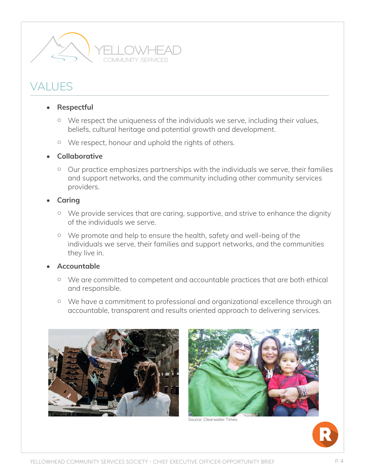

### **VALUES**

#### • **Respectful**

- We respect the uniqueness of the individuals we serve, including their values, beliefs, cultural heritage and potential growth and development.
- We respect, honour and uphold the rights of others.

#### • **Collaborative**

○ Our practice emphasizes partnerships with the individuals we serve, their families and support networks, and the community including other community services providers.

#### • **Caring**

- We provide services that are caring, supportive, and strive to enhance the dignity of the individuals we serve.
- We promote and help to ensure the health, safety and well-being of the individuals we serve, their families and support networks, and the communities they live in.

#### • **Accountable**

- We are committed to competent and accountable practices that are both ethical and responsible.
- We have a commitment to professional and organizational excellence through an accountable, transparent and results oriented approach to delivering services.





Source: Clearwater Times

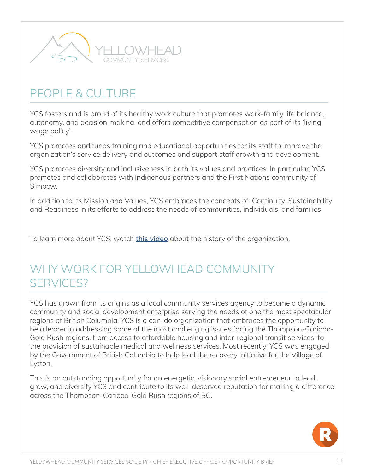

### PFOPLE & CULTURE

YCS fosters and is proud of its healthy work culture that promotes work-family life balance, autonomy, and decision-making, and offers competitive compensation as part of its 'living wage policy'.

YCS promotes and funds training and educational opportunities for its staff to improve the organization's service delivery and outcomes and support staff growth and development.

YCS promotes diversity and inclusiveness in both its values and practices. In particular, YCS promotes and collaborates with Indigenous partners and the First Nations community of Simpcw.

In addition to its Mission and Values, YCS embraces the concepts of: Continuity, Sustainability, and Readiness in its efforts to address the needs of communities, individuals, and families.

To learn more about YCS, watch **[this video](https://realizecoopvan-my.sharepoint.com/:v:/g/personal/gillian_realizestrategies_ca/EQfKFedj-wlJv7zvZV2a-bgBMlFDMw3OBecDmIJhb3yP7w?e=HenCJh)** about the history of the organization.

#### WHY WORK FOR YELLOWHEAD COMMUNITY SERVICES?

YCS has grown from its origins as a local community services agency to become a dynamic community and social development enterprise serving the needs of one the most spectacular regions of British Columbia. YCS is a can-do organization that embraces the opportunity to be a leader in addressing some of the most challenging issues facing the Thompson-Cariboo-Gold Rush regions, from access to affordable housing and inter-regional transit services, to the provision of sustainable medical and wellness services. Most recently, YCS was engaged by the Government of British Columbia to help lead the recovery initiative for the Village of Lytton.

This is an outstanding opportunity for an energetic, visionary social entrepreneur to lead, grow, and diversify YCS and contribute to its well-deserved reputation for making a difference across the Thompson-Cariboo-Gold Rush regions of BC.

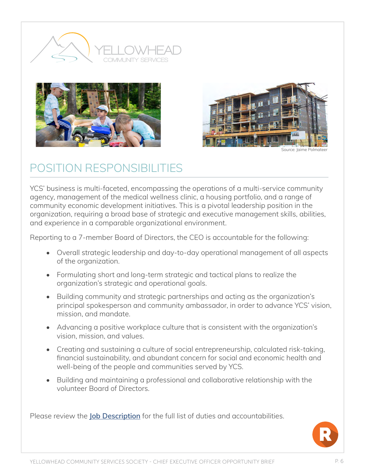





Source: Jaime Polmateer

### POSITION RESPONSIBILITIES

YCS' business is multi-faceted, encompassing the operations of a multi-service community agency, management of the medical wellness clinic, a housing portfolio, and a range of community economic development initiatives. This is a pivotal leadership position in the organization, requiring a broad base of strategic and executive management skills, abilities, and experience in a comparable organizational environment.

Reporting to a 7-member Board of Directors, the CEO is accountable for the following:

- Overall strategic leadership and day-to-day operational management of all aspects of the organization.
- Formulating short and long-term strategic and tactical plans to realize the organization's strategic and operational goals.
- Building community and strategic partnerships and acting as the organization's principal spokesperson and community ambassador, in order to advance YCS' vision, mission, and mandate.
- Advancing a positive workplace culture that is consistent with the organization's vision, mission, and values.
- Creating and sustaining a culture of social entrepreneurship, calculated risk-taking, financial sustainability, and abundant concern for social and economic health and well-being of the people and communities served by YCS.
- Building and maintaining a professional and collaborative relationship with the volunteer Board of Directors.

Please review the **[Job Description](https://realizestrategies.ca/wp-content/uploads/2020/06/YCS-CEO-Job-Description.pdf)** for the full list of duties and accountabilities.

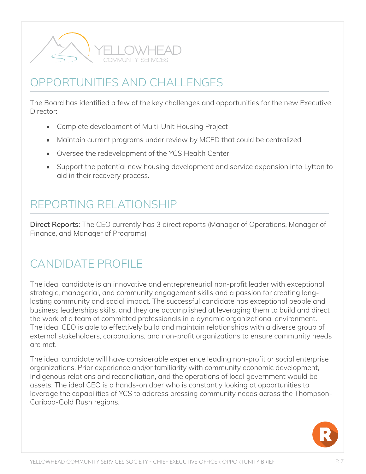

## OPPORTUNITIES AND CHALLENGES

The Board has identified a few of the key challenges and opportunities for the new Executive Director:

- Complete development of Multi-Unit Housing Project
- Maintain current programs under review by MCFD that could be centralized
- Oversee the redevelopment of the YCS Health Center
- Support the potential new housing development and service expansion into Lytton to aid in their recovery process.

### REPORTING RELATIONSHIP

**Direct Reports:** The CEO currently has 3 direct reports (Manager of Operations, Manager of Finance, and Manager of Programs)

### CANDIDATE PROFILE

The ideal candidate is an innovative and entrepreneurial non-profit leader with exceptional strategic, managerial, and community engagement skills and a passion for creating longlasting community and social impact. The successful candidate has exceptional people and business leaderships skills, and they are accomplished at leveraging them to build and direct the work of a team of committed professionals in a dynamic organizational environment. The ideal CEO is able to effectively build and maintain relationships with a diverse group of external stakeholders, corporations, and non-profit organizations to ensure community needs are met.

The ideal candidate will have considerable experience leading non-profit or social enterprise organizations. Prior experience and/or familiarity with community economic development, Indigenous relations and reconciliation, and the operations of local government would be assets. The ideal CEO is a hands-on doer who is constantly looking at opportunities to leverage the capabilities of YCS to address pressing community needs across the Thompson-Cariboo-Gold Rush regions.

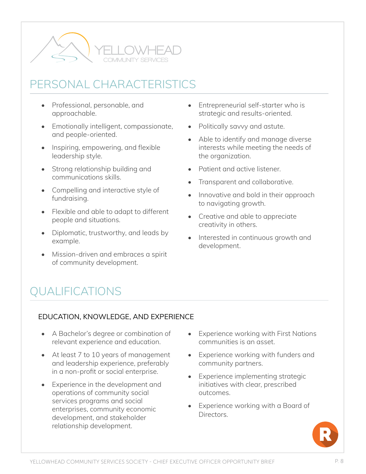

### PERSONAL CHARACTERISTICS

- Professional, personable, and approachable.
- Emotionally intelligent, compassionate, and people-oriented.
- Inspiring, empowering, and flexible leadership style.
- Strong relationship building and communications skills.
- Compelling and interactive style of fundraising.
- Flexible and able to adapt to different people and situations.
- Diplomatic, trustworthy, and leads by example.
- Mission-driven and embraces a spirit of community development.
- Entrepreneurial self-starter who is strategic and results-oriented.
- Politically savvy and astute.
- Able to identify and manage diverse interests while meeting the needs of the organization.
- Patient and active listener.
- Transparent and collaborative.
- Innovative and bold in their approach to navigating growth.
- Creative and able to appreciate creativity in others.
- Interested in continuous growth and development.

## QUALIFICATIONS

#### EDUCATION, KNOWLEDGE, AND EXPERIENCE

- A Bachelor's degree or combination of relevant experience and education.
- At least 7 to 10 years of management and leadership experience, preferably in a non-profit or social enterprise.
- Experience in the development and operations of community social services programs and social enterprises, community economic development, and stakeholder relationship development.
- Experience working with First Nations communities is an asset.
- Experience working with funders and community partners.
- Experience implementing strategic initiatives with clear, prescribed outcomes.
- Experience working with a Board of Directors.

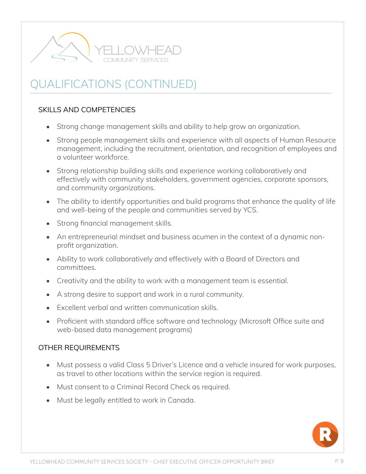

## QUALIFICATIONS (CONTINUED)

#### SKILLS AND COMPETENCIES

- Strong change management skills and ability to help grow an organization.
- Strong people management skills and experience with all aspects of Human Resource management, including the recruitment, orientation, and recognition of employees and a volunteer workforce.
- Strong relationship building skills and experience working collaboratively and effectively with community stakeholders, government agencies, corporate sponsors, and community organizations.
- The ability to identify opportunities and build programs that enhance the quality of life and well-being of the people and communities served by YCS.
- Strong financial management skills.
- An entrepreneurial mindset and business acumen in the context of a dynamic nonprofit organization.
- Ability to work collaboratively and effectively with a Board of Directors and committees.
- Creativity and the ability to work with a management team is essential.
- A strong desire to support and work in a rural community.
- Excellent verbal and written communication skills.
- Proficient with standard office software and technology (Microsoft Office suite and web-based data management programs)

#### OTHER REQUIREMENTS

- Must possess a valid Class 5 Driver's Licence and a vehicle insured for work purposes, as travel to other locations within the service region is required.
- Must consent to a Criminal Record Check as required.
- Must be legally entitled to work in Canada.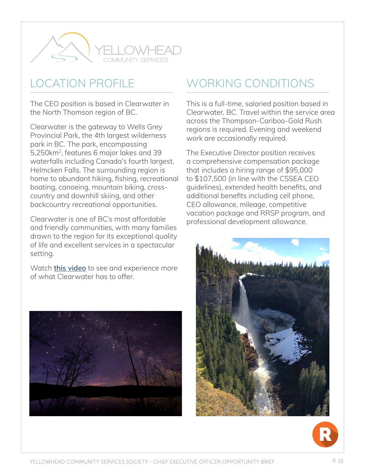

### LOCATION PROFILE

The CEO position is based in Clearwater in the North Thomson region of BC.

Clearwater is the gateway to Wells Grey Provincial Park, the 4th largest wilderness park in BC. The park, encompassing 5,250km2, features 6 major lakes and 39 waterfalls including Canada's fourth largest, Helmcken Falls. The surrounding region is home to abundant hiking, fishing, recreational boating, canoeing, mountain biking, crosscountry and downhill skiing, and other backcountry recreational opportunities.

Clearwater is one of BC's most affordable and friendly communities, with many families drawn to the region for its exceptional quality of life and excellent services in a spectacular setting.

Watch **[this video](https://youtu.be/6pZiP_6aUs0)** to see and experience more of what Clearwater has to offer.



## WORKING CONDITIONS

This is a full-time, salaried position based in Clearwater, BC. Travel within the service area across the Thompson-Cariboo-Gold Rush regions is required. Evening and weekend work are occasionally required.

The Executive Director position receives a comprehensive compensation package that includes a hiring range of \$95,000 to \$107,500 (in line with the CSSEA CEO guidelines), extended health benefits, and additional benefits including cell phone, CEO allowance, mileage, competitive vacation package and RRSP program, and professional development allowance.